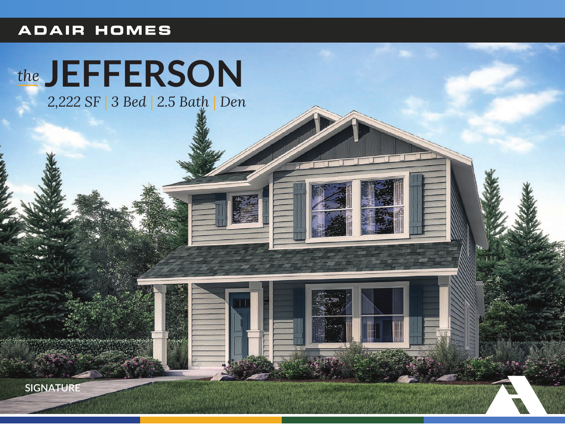## **ADAIR HOMES**

## the JEFFERSON

2,222 SF | 3 Bed | 2.5 Bath | Den

**SIGNATURE**